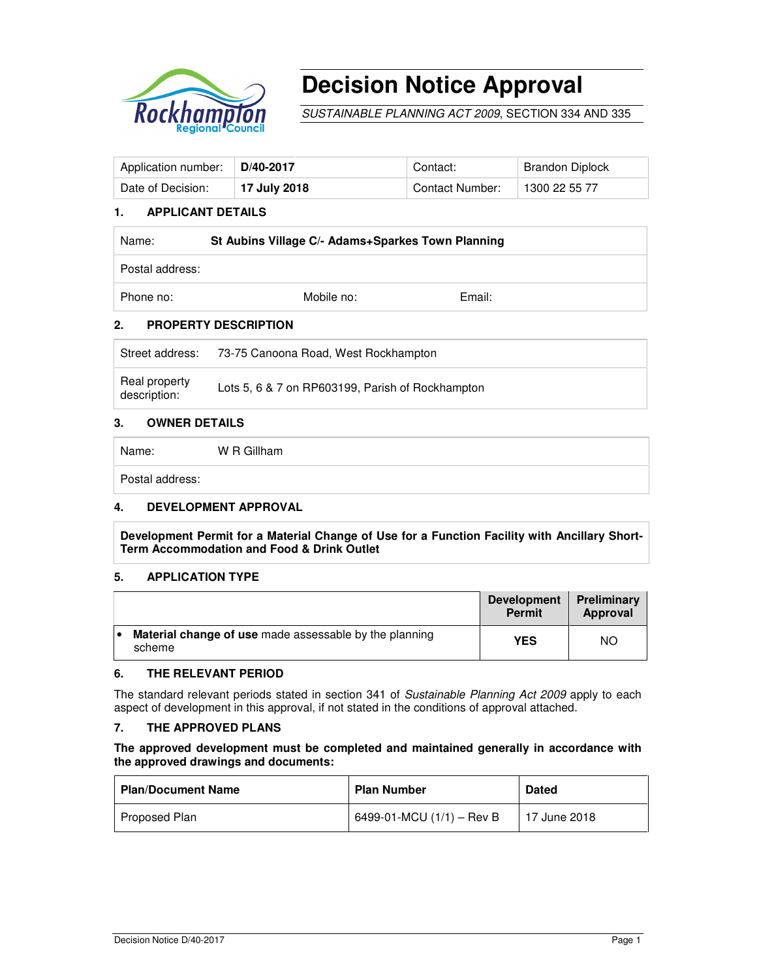

# **Decision Notice Approval**

SUSTAINABLE PLANNING ACT 2009, SECTION 334 AND 335

| Application number: | $\mid$ D/40-2017 | Contact:        | Brandon Diplock |
|---------------------|------------------|-----------------|-----------------|
| Date of Decision:   | 17 July 2018     | Contact Number: | 1300 22 55 77   |

#### **1. APPLICANT DETAILS**

| Name:           | St Aubins Village C/- Adams+Sparkes Town Planning |        |  |
|-----------------|---------------------------------------------------|--------|--|
| Postal address: |                                                   |        |  |
| Phone no:       | Mobile no:                                        | Email: |  |

#### **2. PROPERTY DESCRIPTION**

| Street address:               | 73-75 Canoona Road, West Rockhampton             |
|-------------------------------|--------------------------------------------------|
| Real property<br>description: | Lots 5, 6 & 7 on RP603199, Parish of Rockhampton |

#### **3. OWNER DETAILS**

Name: W R Gillham

Postal address:

#### **4. DEVELOPMENT APPROVAL**

**Development Permit for a Material Change of Use for a Function Facility with Ancillary Short-Term Accommodation and Food & Drink Outlet** 

#### **5. APPLICATION TYPE**

|     |                                                                  | <b>Development</b><br><b>Permit</b> | Preliminary<br>Approval |
|-----|------------------------------------------------------------------|-------------------------------------|-------------------------|
| і е | Material change of use made assessable by the planning<br>scheme | <b>YES</b>                          | NO.                     |

#### **6. THE RELEVANT PERIOD**

The standard relevant periods stated in section 341 of Sustainable Planning Act 2009 apply to each aspect of development in this approval, if not stated in the conditions of approval attached.

### **7. THE APPROVED PLANS**

#### **The approved development must be completed and maintained generally in accordance with the approved drawings and documents:**

| <b>Plan/Document Name</b> | <b>Plan Number</b>          | <b>Dated</b> |
|---------------------------|-----------------------------|--------------|
| Proposed Plan             | 6499-01-MCU $(1/1)$ – Rev B | 17 June 2018 |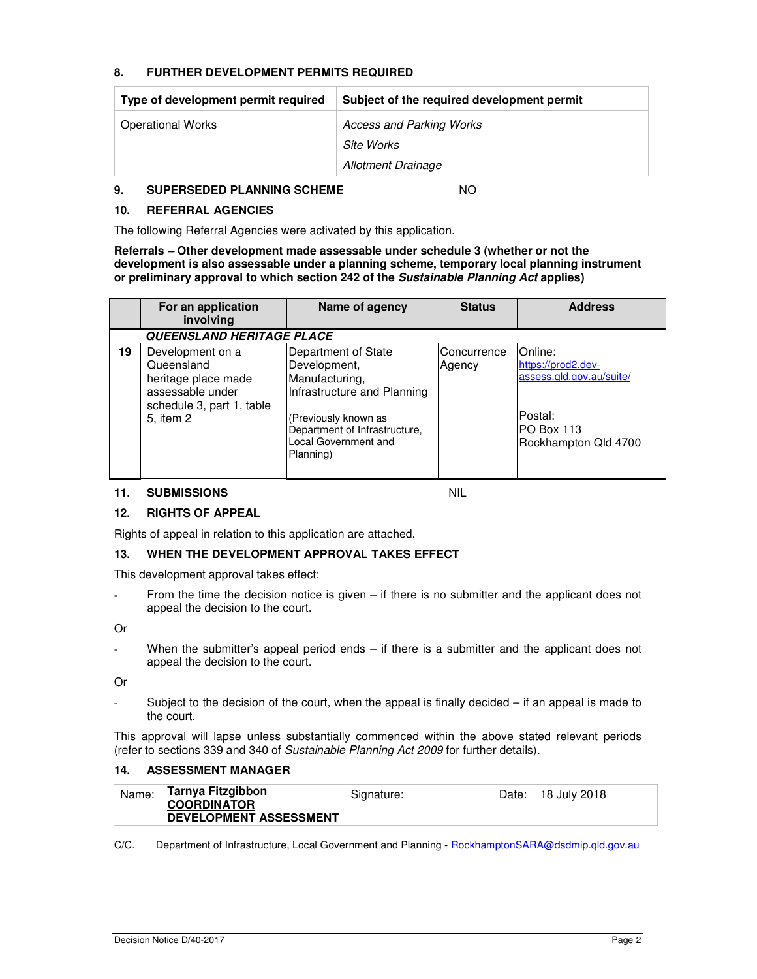#### **8. FURTHER DEVELOPMENT PERMITS REQUIRED**

| Type of development permit required | Subject of the required development permit |
|-------------------------------------|--------------------------------------------|
| <b>Operational Works</b>            | <b>Access and Parking Works</b>            |
|                                     | Site Works                                 |
|                                     | Allotment Drainage                         |

#### **9. SUPERSEDED PLANNING SCHEME** NO

#### **10. REFERRAL AGENCIES**

The following Referral Agencies were activated by this application.

**Referrals – Other development made assessable under schedule 3 (whether or not the development is also assessable under a planning scheme, temporary local planning instrument or preliminary approval to which section 242 of the Sustainable Planning Act applies)** 

|    | For an application<br>involving                                                                                     | Name of agency                                                                                                                                                                     | <b>Status</b>         | <b>Address</b>                                                                                             |
|----|---------------------------------------------------------------------------------------------------------------------|------------------------------------------------------------------------------------------------------------------------------------------------------------------------------------|-----------------------|------------------------------------------------------------------------------------------------------------|
|    | <b>QUEENSLAND HERITAGE PLACE</b>                                                                                    |                                                                                                                                                                                    |                       |                                                                                                            |
| 19 | Development on a<br>Queensland<br>heritage place made<br>assessable under<br>schedule 3, part 1, table<br>5, item 2 | Department of State<br>Development,<br>Manufacturing,<br>Infrastructure and Planning<br>(Previously known as<br>Department of Infrastructure,<br>Local Government and<br>Planning) | Concurrence<br>Agency | Online:<br>https://prod2.dev-<br>assess.gld.gov.au/suite/<br>Postal:<br>PO Box 113<br>Rockhampton Qld 4700 |

#### **11. SUBMISSIONS** NIL

#### **12. RIGHTS OF APPEAL**

Rights of appeal in relation to this application are attached.

#### **13. WHEN THE DEVELOPMENT APPROVAL TAKES EFFECT**

This development approval takes effect:

- From the time the decision notice is given – if there is no submitter and the applicant does not appeal the decision to the court.

Or

When the submitter's appeal period ends  $-$  if there is a submitter and the applicant does not appeal the decision to the court.

Or

Subject to the decision of the court, when the appeal is finally decided – if an appeal is made to the court.

This approval will lapse unless substantially commenced within the above stated relevant periods (refer to sections 339 and 340 of Sustainable Planning Act 2009 for further details).

#### **14. ASSESSMENT MANAGER**

| Name: | Tarnya Fitzgibbon             | Signature: | Date: 18 July 2018 |
|-------|-------------------------------|------------|--------------------|
|       | <b>COORDINATOR</b>            |            |                    |
|       | <b>DEVELOPMENT ASSESSMENT</b> |            |                    |

C/C. Department of Infrastructure, Local Government and Planning - RockhamptonSARA@dsdmip.qld.gov.au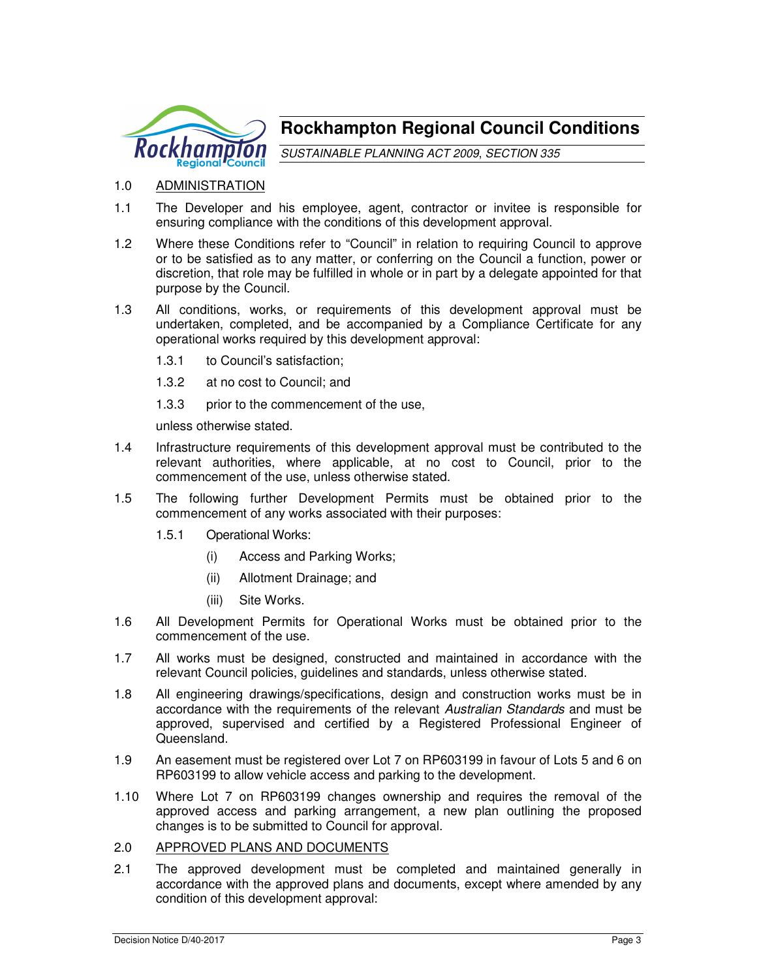

# **Rockhampton Regional Council Conditions**

SUSTAINABLE PLANNING ACT 2009, SECTION 335

# 1.0 ADMINISTRATION

- 1.1 The Developer and his employee, agent, contractor or invitee is responsible for ensuring compliance with the conditions of this development approval.
- 1.2 Where these Conditions refer to "Council" in relation to requiring Council to approve or to be satisfied as to any matter, or conferring on the Council a function, power or discretion, that role may be fulfilled in whole or in part by a delegate appointed for that purpose by the Council.
- 1.3 All conditions, works, or requirements of this development approval must be undertaken, completed, and be accompanied by a Compliance Certificate for any operational works required by this development approval:
	- 1.3.1 to Council's satisfaction;
	- 1.3.2 at no cost to Council; and
	- 1.3.3 prior to the commencement of the use.

unless otherwise stated.

- 1.4 Infrastructure requirements of this development approval must be contributed to the relevant authorities, where applicable, at no cost to Council, prior to the commencement of the use, unless otherwise stated.
- 1.5 The following further Development Permits must be obtained prior to the commencement of any works associated with their purposes:
	- 1.5.1 Operational Works:
		- (i) Access and Parking Works;
		- (ii) Allotment Drainage; and
		- (iii) Site Works.
- 1.6 All Development Permits for Operational Works must be obtained prior to the commencement of the use.
- 1.7 All works must be designed, constructed and maintained in accordance with the relevant Council policies, guidelines and standards, unless otherwise stated.
- 1.8 All engineering drawings/specifications, design and construction works must be in accordance with the requirements of the relevant Australian Standards and must be approved, supervised and certified by a Registered Professional Engineer of Queensland.
- 1.9 An easement must be registered over Lot 7 on RP603199 in favour of Lots 5 and 6 on RP603199 to allow vehicle access and parking to the development.
- 1.10 Where Lot 7 on RP603199 changes ownership and requires the removal of the approved access and parking arrangement, a new plan outlining the proposed changes is to be submitted to Council for approval.
- 2.0 APPROVED PLANS AND DOCUMENTS
- 2.1 The approved development must be completed and maintained generally in accordance with the approved plans and documents, except where amended by any condition of this development approval: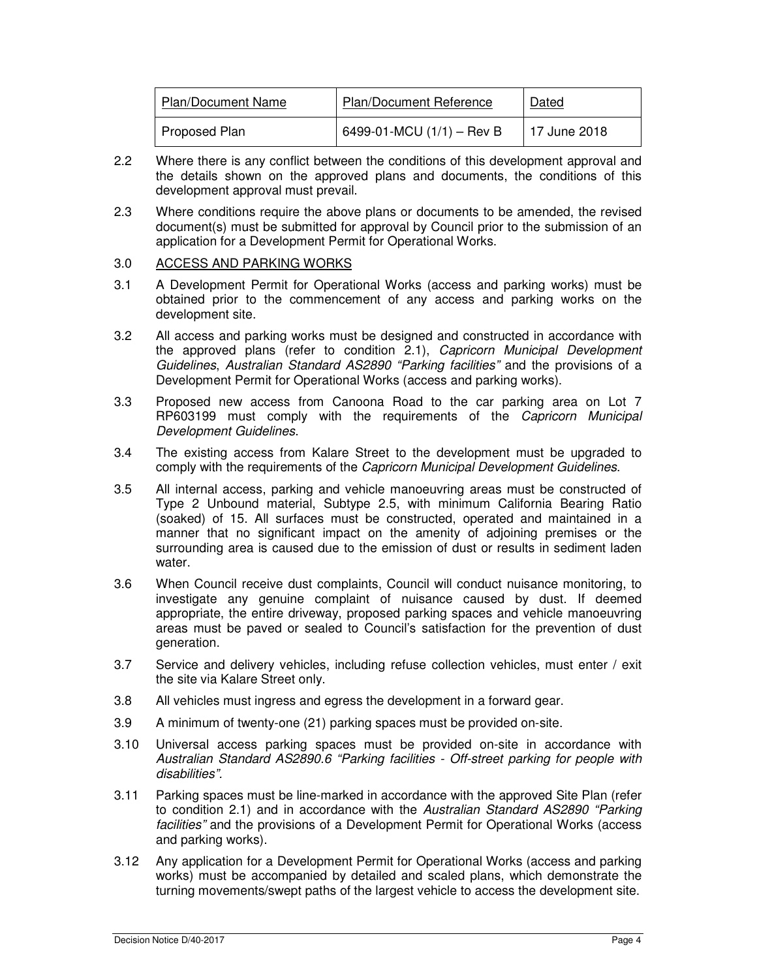| <b>Plan/Document Name</b> | <b>Plan/Document Reference</b> | Dated        |
|---------------------------|--------------------------------|--------------|
| Proposed Plan             | 6499-01-MCU $(1/1)$ – Rev B    | 17 June 2018 |

- 2.2 Where there is any conflict between the conditions of this development approval and the details shown on the approved plans and documents, the conditions of this development approval must prevail.
- 2.3 Where conditions require the above plans or documents to be amended, the revised document(s) must be submitted for approval by Council prior to the submission of an application for a Development Permit for Operational Works.

#### 3.0 ACCESS AND PARKING WORKS

- 3.1 A Development Permit for Operational Works (access and parking works) must be obtained prior to the commencement of any access and parking works on the development site.
- 3.2 All access and parking works must be designed and constructed in accordance with the approved plans (refer to condition 2.1), Capricorn Municipal Development Guidelines, Australian Standard AS2890 "Parking facilities" and the provisions of a Development Permit for Operational Works (access and parking works).
- 3.3 Proposed new access from Canoona Road to the car parking area on Lot 7 RP603199 must comply with the requirements of the Capricorn Municipal Development Guidelines.
- 3.4 The existing access from Kalare Street to the development must be upgraded to comply with the requirements of the Capricorn Municipal Development Guidelines.
- 3.5 All internal access, parking and vehicle manoeuvring areas must be constructed of Type 2 Unbound material, Subtype 2.5, with minimum California Bearing Ratio (soaked) of 15. All surfaces must be constructed, operated and maintained in a manner that no significant impact on the amenity of adjoining premises or the surrounding area is caused due to the emission of dust or results in sediment laden water.
- 3.6 When Council receive dust complaints, Council will conduct nuisance monitoring, to investigate any genuine complaint of nuisance caused by dust. If deemed appropriate, the entire driveway, proposed parking spaces and vehicle manoeuvring areas must be paved or sealed to Council's satisfaction for the prevention of dust generation.
- 3.7 Service and delivery vehicles, including refuse collection vehicles, must enter / exit the site via Kalare Street only.
- 3.8 All vehicles must ingress and egress the development in a forward gear.
- 3.9 A minimum of twenty-one (21) parking spaces must be provided on-site.
- 3.10 Universal access parking spaces must be provided on-site in accordance with Australian Standard AS2890.6 "Parking facilities - Off-street parking for people with disabilities".
- 3.11 Parking spaces must be line-marked in accordance with the approved Site Plan (refer to condition 2.1) and in accordance with the Australian Standard AS2890 "Parking facilities" and the provisions of a Development Permit for Operational Works (access and parking works).
- 3.12 Any application for a Development Permit for Operational Works (access and parking works) must be accompanied by detailed and scaled plans, which demonstrate the turning movements/swept paths of the largest vehicle to access the development site.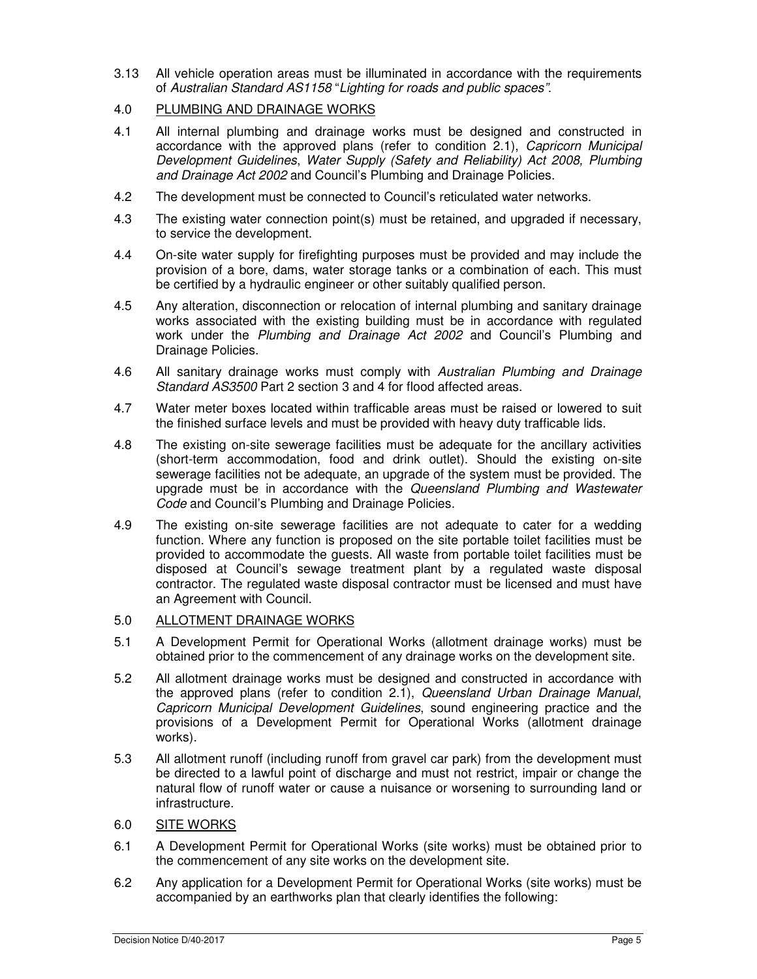- 3.13 All vehicle operation areas must be illuminated in accordance with the requirements of Australian Standard AS1158 "Lighting for roads and public spaces".
- 4.0 PLUMBING AND DRAINAGE WORKS
- 4.1 All internal plumbing and drainage works must be designed and constructed in accordance with the approved plans (refer to condition 2.1), Capricorn Municipal Development Guidelines, Water Supply (Safety and Reliability) Act 2008, Plumbing and Drainage Act 2002 and Council's Plumbing and Drainage Policies.
- 4.2 The development must be connected to Council's reticulated water networks.
- 4.3 The existing water connection point(s) must be retained, and upgraded if necessary, to service the development.
- 4.4 On-site water supply for firefighting purposes must be provided and may include the provision of a bore, dams, water storage tanks or a combination of each. This must be certified by a hydraulic engineer or other suitably qualified person.
- 4.5 Any alteration, disconnection or relocation of internal plumbing and sanitary drainage works associated with the existing building must be in accordance with regulated work under the Plumbing and Drainage Act 2002 and Council's Plumbing and Drainage Policies.
- 4.6 All sanitary drainage works must comply with Australian Plumbing and Drainage Standard AS3500 Part 2 section 3 and 4 for flood affected areas.
- 4.7 Water meter boxes located within trafficable areas must be raised or lowered to suit the finished surface levels and must be provided with heavy duty trafficable lids.
- 4.8 The existing on-site sewerage facilities must be adequate for the ancillary activities (short-term accommodation, food and drink outlet). Should the existing on-site sewerage facilities not be adequate, an upgrade of the system must be provided. The upgrade must be in accordance with the Queensland Plumbing and Wastewater Code and Council's Plumbing and Drainage Policies.
- 4.9 The existing on-site sewerage facilities are not adequate to cater for a wedding function. Where any function is proposed on the site portable toilet facilities must be provided to accommodate the guests. All waste from portable toilet facilities must be disposed at Council's sewage treatment plant by a regulated waste disposal contractor. The regulated waste disposal contractor must be licensed and must have an Agreement with Council.

# 5.0 ALLOTMENT DRAINAGE WORKS

- 5.1 A Development Permit for Operational Works (allotment drainage works) must be obtained prior to the commencement of any drainage works on the development site.
- 5.2 All allotment drainage works must be designed and constructed in accordance with the approved plans (refer to condition 2.1), Queensland Urban Drainage Manual, Capricorn Municipal Development Guidelines, sound engineering practice and the provisions of a Development Permit for Operational Works (allotment drainage works).
- 5.3 All allotment runoff (including runoff from gravel car park) from the development must be directed to a lawful point of discharge and must not restrict, impair or change the natural flow of runoff water or cause a nuisance or worsening to surrounding land or infrastructure.

# 6.0 SITE WORKS

- 6.1 A Development Permit for Operational Works (site works) must be obtained prior to the commencement of any site works on the development site.
- 6.2 Any application for a Development Permit for Operational Works (site works) must be accompanied by an earthworks plan that clearly identifies the following: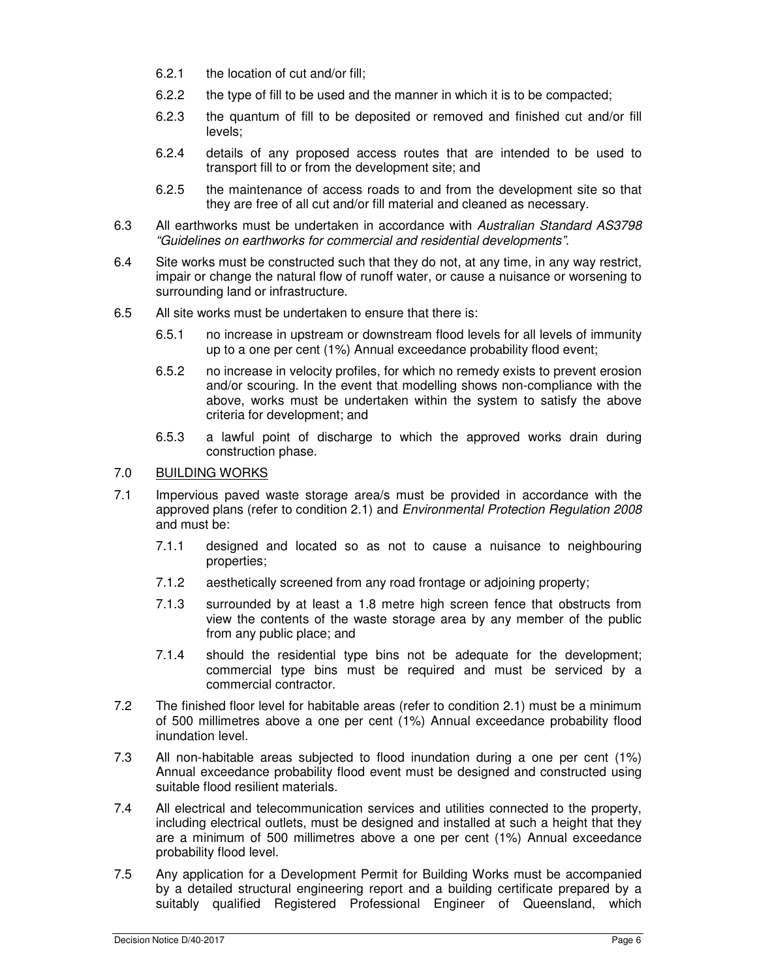- 6.2.1 the location of cut and/or fill;
- 6.2.2 the type of fill to be used and the manner in which it is to be compacted;
- 6.2.3 the quantum of fill to be deposited or removed and finished cut and/or fill levels;
- 6.2.4 details of any proposed access routes that are intended to be used to transport fill to or from the development site; and
- 6.2.5 the maintenance of access roads to and from the development site so that they are free of all cut and/or fill material and cleaned as necessary.
- 6.3 All earthworks must be undertaken in accordance with Australian Standard AS3798 "Guidelines on earthworks for commercial and residential developments".
- 6.4 Site works must be constructed such that they do not, at any time, in any way restrict, impair or change the natural flow of runoff water, or cause a nuisance or worsening to surrounding land or infrastructure.
- 6.5 All site works must be undertaken to ensure that there is:
	- 6.5.1 no increase in upstream or downstream flood levels for all levels of immunity up to a one per cent (1%) Annual exceedance probability flood event;
	- 6.5.2 no increase in velocity profiles, for which no remedy exists to prevent erosion and/or scouring. In the event that modelling shows non-compliance with the above, works must be undertaken within the system to satisfy the above criteria for development; and
	- 6.5.3 a lawful point of discharge to which the approved works drain during construction phase.

#### 7.0 BUILDING WORKS

- 7.1 Impervious paved waste storage area/s must be provided in accordance with the approved plans (refer to condition 2.1) and Environmental Protection Regulation 2008 and must be:
	- 7.1.1 designed and located so as not to cause a nuisance to neighbouring properties;
	- 7.1.2 aesthetically screened from any road frontage or adjoining property;
	- 7.1.3 surrounded by at least a 1.8 metre high screen fence that obstructs from view the contents of the waste storage area by any member of the public from any public place; and
	- 7.1.4 should the residential type bins not be adequate for the development; commercial type bins must be required and must be serviced by a commercial contractor.
- 7.2 The finished floor level for habitable areas (refer to condition 2.1) must be a minimum of 500 millimetres above a one per cent (1%) Annual exceedance probability flood inundation level.
- 7.3 All non-habitable areas subjected to flood inundation during a one per cent (1%) Annual exceedance probability flood event must be designed and constructed using suitable flood resilient materials.
- 7.4 All electrical and telecommunication services and utilities connected to the property, including electrical outlets, must be designed and installed at such a height that they are a minimum of 500 millimetres above a one per cent (1%) Annual exceedance probability flood level.
- 7.5 Any application for a Development Permit for Building Works must be accompanied by a detailed structural engineering report and a building certificate prepared by a suitably qualified Registered Professional Engineer of Queensland, which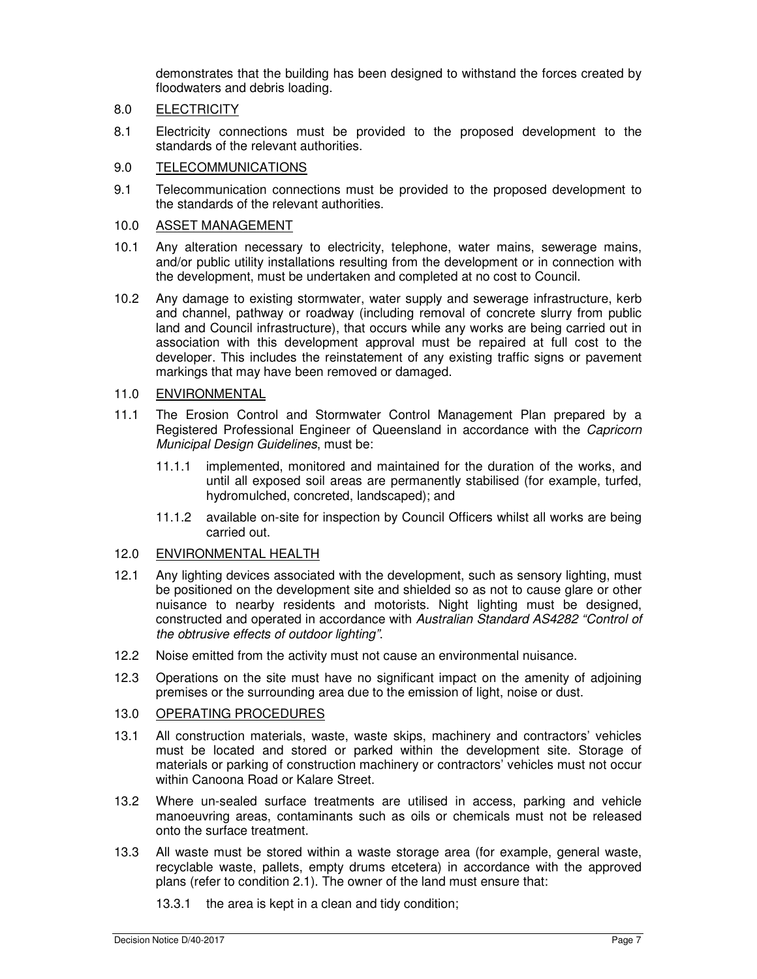demonstrates that the building has been designed to withstand the forces created by floodwaters and debris loading.

# 8.0 ELECTRICITY

8.1 Electricity connections must be provided to the proposed development to the standards of the relevant authorities.

#### 9.0 TELECOMMUNICATIONS

9.1 Telecommunication connections must be provided to the proposed development to the standards of the relevant authorities.

#### 10.0 ASSET MANAGEMENT

- 10.1 Any alteration necessary to electricity, telephone, water mains, sewerage mains, and/or public utility installations resulting from the development or in connection with the development, must be undertaken and completed at no cost to Council.
- 10.2 Any damage to existing stormwater, water supply and sewerage infrastructure, kerb and channel, pathway or roadway (including removal of concrete slurry from public land and Council infrastructure), that occurs while any works are being carried out in association with this development approval must be repaired at full cost to the developer. This includes the reinstatement of any existing traffic signs or pavement markings that may have been removed or damaged.

#### 11.0 ENVIRONMENTAL

- 11.1 The Erosion Control and Stormwater Control Management Plan prepared by a Registered Professional Engineer of Queensland in accordance with the Capricorn Municipal Design Guidelines, must be:
	- 11.1.1 implemented, monitored and maintained for the duration of the works, and until all exposed soil areas are permanently stabilised (for example, turfed, hydromulched, concreted, landscaped); and
	- 11.1.2 available on-site for inspection by Council Officers whilst all works are being carried out.

#### 12.0 ENVIRONMENTAL HEALTH

- 12.1 Any lighting devices associated with the development, such as sensory lighting, must be positioned on the development site and shielded so as not to cause glare or other nuisance to nearby residents and motorists. Night lighting must be designed, constructed and operated in accordance with Australian Standard AS4282 "Control of the obtrusive effects of outdoor lighting".
- 12.2 Noise emitted from the activity must not cause an environmental nuisance.
- 12.3 Operations on the site must have no significant impact on the amenity of adjoining premises or the surrounding area due to the emission of light, noise or dust.

# 13.0 OPERATING PROCEDURES

- 13.1 All construction materials, waste, waste skips, machinery and contractors' vehicles must be located and stored or parked within the development site. Storage of materials or parking of construction machinery or contractors' vehicles must not occur within Canoona Road or Kalare Street.
- 13.2 Where un-sealed surface treatments are utilised in access, parking and vehicle manoeuvring areas, contaminants such as oils or chemicals must not be released onto the surface treatment.
- 13.3 All waste must be stored within a waste storage area (for example, general waste, recyclable waste, pallets, empty drums etcetera) in accordance with the approved plans (refer to condition 2.1). The owner of the land must ensure that:
	- 13.3.1 the area is kept in a clean and tidy condition;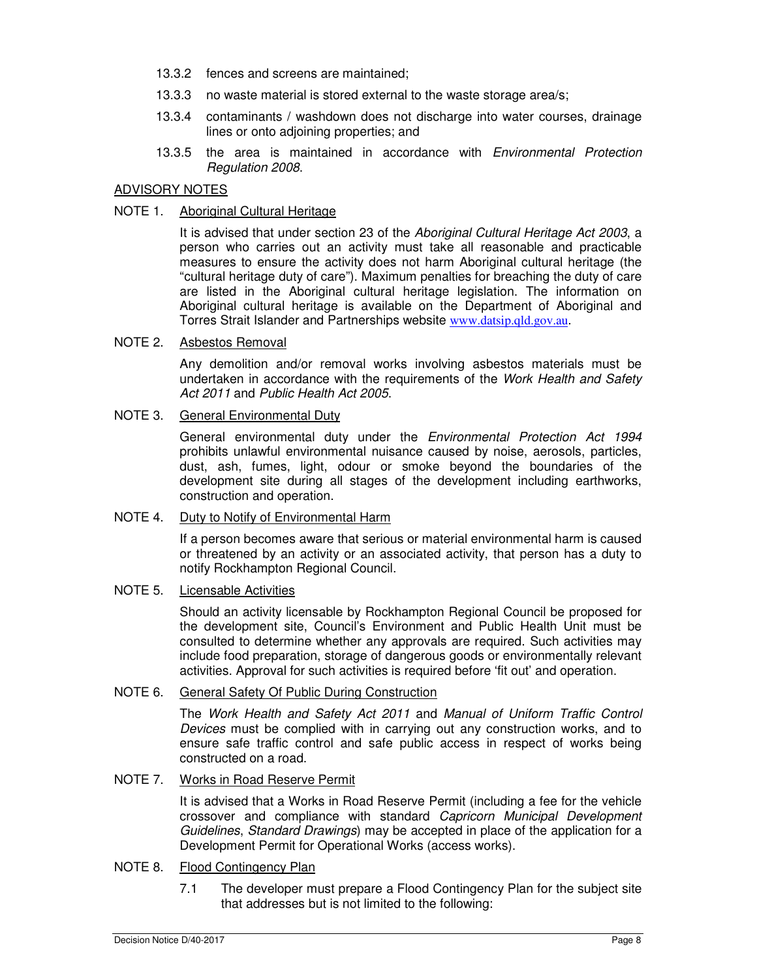- 13.3.2 fences and screens are maintained;
- 13.3.3 no waste material is stored external to the waste storage area/s;
- 13.3.4 contaminants / washdown does not discharge into water courses, drainage lines or onto adjoining properties; and
- 13.3.5 the area is maintained in accordance with *Environmental Protection* Regulation 2008.

# ADVISORY NOTES

# NOTE 1. Aboriginal Cultural Heritage

It is advised that under section 23 of the Aboriginal Cultural Heritage Act 2003, a person who carries out an activity must take all reasonable and practicable measures to ensure the activity does not harm Aboriginal cultural heritage (the "cultural heritage duty of care"). Maximum penalties for breaching the duty of care are listed in the Aboriginal cultural heritage legislation. The information on Aboriginal cultural heritage is available on the Department of Aboriginal and Torres Strait Islander and Partnerships website www.datsip.qld.gov.au.

# NOTE 2. Asbestos Removal

Any demolition and/or removal works involving asbestos materials must be undertaken in accordance with the requirements of the Work Health and Safety Act 2011 and Public Health Act 2005.

### NOTE 3. General Environmental Duty

General environmental duty under the Environmental Protection Act 1994 prohibits unlawful environmental nuisance caused by noise, aerosols, particles, dust, ash, fumes, light, odour or smoke beyond the boundaries of the development site during all stages of the development including earthworks, construction and operation.

### NOTE 4. Duty to Notify of Environmental Harm

If a person becomes aware that serious or material environmental harm is caused or threatened by an activity or an associated activity, that person has a duty to notify Rockhampton Regional Council.

### NOTE 5. Licensable Activities

Should an activity licensable by Rockhampton Regional Council be proposed for the development site, Council's Environment and Public Health Unit must be consulted to determine whether any approvals are required. Such activities may include food preparation, storage of dangerous goods or environmentally relevant activities. Approval for such activities is required before 'fit out' and operation.

# NOTE 6. General Safety Of Public During Construction

The Work Health and Safety Act 2011 and Manual of Uniform Traffic Control Devices must be complied with in carrying out any construction works, and to ensure safe traffic control and safe public access in respect of works being constructed on a road.

#### NOTE 7. Works in Road Reserve Permit

It is advised that a Works in Road Reserve Permit (including a fee for the vehicle crossover and compliance with standard Capricorn Municipal Development Guidelines, Standard Drawings) may be accepted in place of the application for a Development Permit for Operational Works (access works).

# NOTE 8. Flood Contingency Plan

7.1 The developer must prepare a Flood Contingency Plan for the subject site that addresses but is not limited to the following: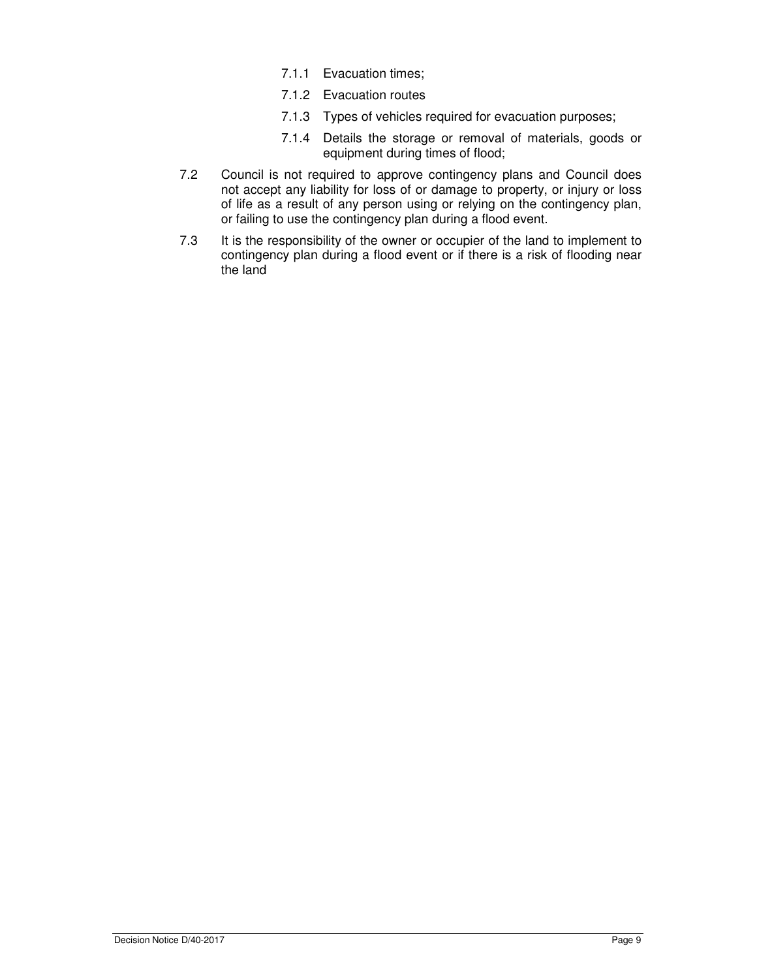- 7.1.1 Evacuation times;
- 7.1.2 Evacuation routes
- 7.1.3 Types of vehicles required for evacuation purposes;
- 7.1.4 Details the storage or removal of materials, goods or equipment during times of flood;
- 7.2 Council is not required to approve contingency plans and Council does not accept any liability for loss of or damage to property, or injury or loss of life as a result of any person using or relying on the contingency plan, or failing to use the contingency plan during a flood event.
- 7.3 It is the responsibility of the owner or occupier of the land to implement to contingency plan during a flood event or if there is a risk of flooding near the land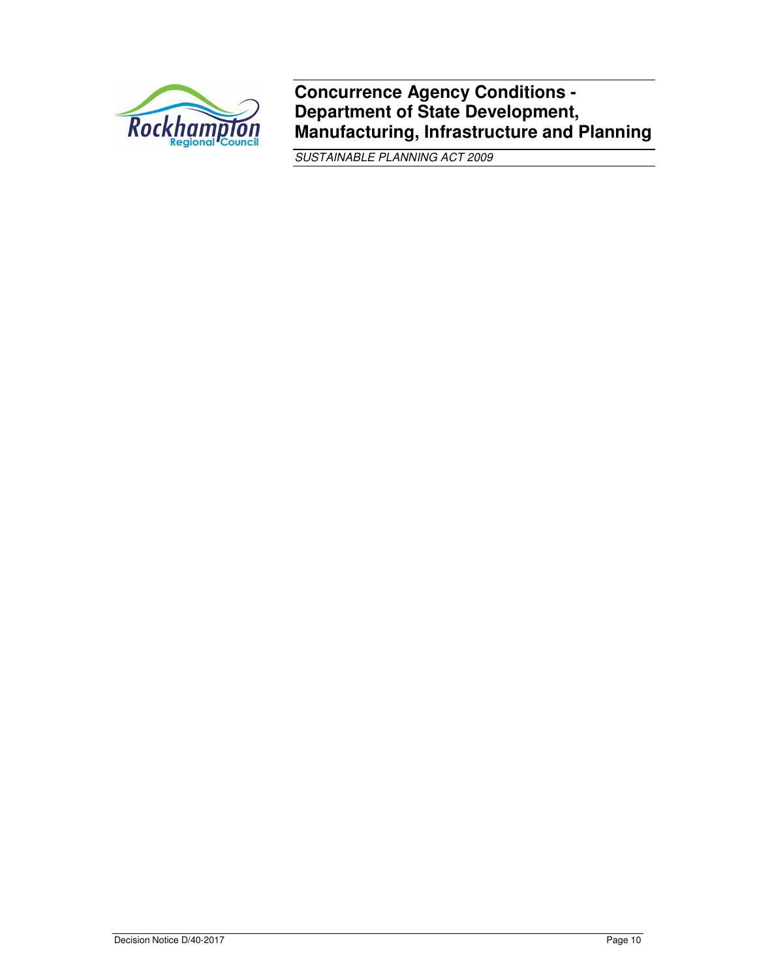

**Concurrence Agency Conditions - Department of State Development, Manufacturing, Infrastructure and Planning**

SUSTAINABLE PLANNING ACT 2009